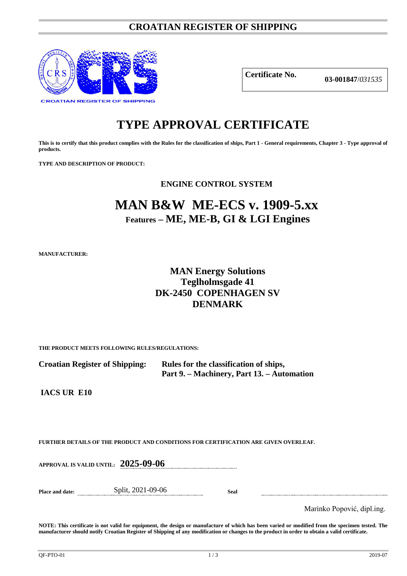### **CROATIAN REGISTER OF SHIPPING**



**Certificate No. 03-001847**/*<sup>031535</sup>*

# **TYPE APPROVAL CERTIFICATE**

**This is to certify that this product complies with the Rules for the classification of ships, Part 1 - General requirements, Chapter 3 - Type approval of products.**

**TYPE AND DESCRIPTION OF PRODUCT:** 

**ENGINE CONTROL SYSTEM**

## **MAN B&W ME-ECS v. 1909-5.xx Features – ME, ME-B, GI & LGI Engines**

**MANUFACTURER:**

### **MAN Energy Solutions Teglholmsgade 41 DK-2450 COPENHAGEN SV DENMARK**

**THE PRODUCT MEETS FOLLOWING RULES/REGULATIONS:**

**Croatian Register of Shipping: Rules for the classification of ships, Part 9. – Machinery, Part 13. – Automation**

**IACS UR E10**

**FURTHER DETAILS OF THE PRODUCT AND CONDITIONS FOR CERTIFICATION ARE GIVEN OVERLEAF.**

**APPROVAL IS VALID UNTIL: 2025-09-06**

**Place and date:** Split, 2021-09-06 **Seal**

Marinko Popović, dipl.ing.

**NOTE: This certificate is not valid for equipment, the design or manufacture of which has been varied or modified from the specimen tested. The manufacturer should notify Croatian Register of Shipping of any modification or changes to the product in order to obtain a valid certificate.**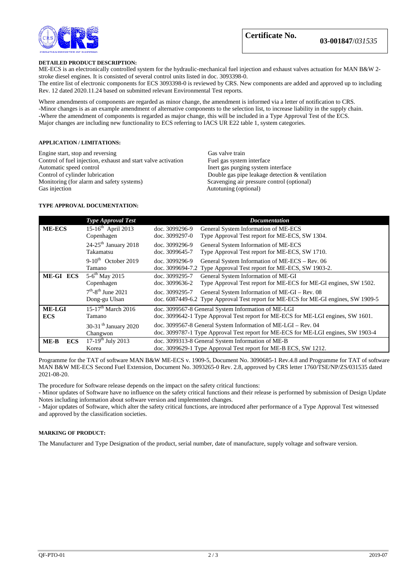

#### **DETAILED PRODUCT DESCRIPTION:**

ME-ECS is an electronically controlled system for the hydraulic-mechanical fuel injection and exhaust valves actuation for MAN B&W 2 stroke diesel engines. It is consisted of several control units listed in doc. 3093398-0.

The entire list of electronic components for ECS 3093398-0 is reviewed by CRS. New components are added and approved up to including Rev. 12 dated 2020.11.24 based on submitted relevant Environmental Test reports.

Where amendments of components are regarded as minor change, the amendment is informed via a letter of notification to CRS. -Minor changes is as an example amendment of alternative components to the selection list, to increase liability in the supply chain. -Where the amendment of components is regarded as major change, this will be included in a Type Approval Test of the ECS. Major changes are including new functionality to ECS referring to IACS UR E22 table 1, system categories.

#### **APPLICATION / LIMITATIONS:**

Engine start, stop and reversing Gas valve train<br>
Control of fuel injection, exhaust and start valve activation Fuel gas system interface Control of fuel injection, exhaust and start valve activation<br>Automatic speed control Automatic speed control Inert gas purging system interface<br>
Control of cylinder lubrication<br>
Double gas pipe leakage detection Monitoring (for alarm and safety systems)<br>Gas injection

Double gas pipe leakage detection  $&$  ventilation Scavenging air pressure control (optional) Autotuning (optional)

#### **TYPE APPROVAL DOCUMENTATION:**

|                      | <b>Type Approval Test</b>          | <b>Documentation</b>                                                               |
|----------------------|------------------------------------|------------------------------------------------------------------------------------|
| <b>ME-ECS</b>        | 15-16 <sup>th</sup> April 2013     | General System Information of ME-ECS<br>doc. 3099296-9                             |
|                      | Copenhagen                         | Type Approval Test report for ME-ECS, SW 1304.<br>doc. 3099297-0                   |
|                      | $24-25$ <sup>th</sup> January 2018 | doc. 3099296-9<br>General System Information of ME-ECS                             |
|                      | Takamatsu                          | Type Approval Test report for ME-ECS, SW 1710.<br>doc. 3099645-7                   |
|                      | $9-10^{th}$ October 2019           | General System Information of ME-ECS – Rev. 06<br>doc. 3099296-9                   |
|                      | Tamano                             | Type Approval Test report for ME-ECS, SW 1903-2.<br>doc. 3099694-7.2               |
| ME-GI ECS            | $5-6^{th}$ May 2015                | General System Information of ME-GI<br>doc. 3099295-7                              |
|                      | Copenhagen                         | Type Approval Test report for ME-ECS for ME-GI engines, SW 1502.<br>doc. 3099636-2 |
|                      | $7th - 8th$ June 2021              | General System Information of ME-GI – Rev. 08<br>doc. 3099295-7                    |
|                      | Dong-gu Ulsan                      | doc. 6087449-6.2 Type Approval Test report for ME-ECS for ME-GI engines, SW 1909-5 |
| <b>ME-LGI</b>        | 15-17 <sup>th</sup> March 2016     | doc. 3099567-8 General System Information of ME-LGI                                |
| <b>ECS</b>           | Tamano                             | doc. 3099642-1 Type Approval Test report for ME-ECS for ME-LGI engines, SW 1601.   |
|                      | 30-31 <sup>th</sup> January 2020   | doc. 3099567-8 General System Information of ME-LGI - Rev. 04                      |
|                      | Changwon                           | doc. 3099787-1 Type Approval Test report for ME-ECS for ME-LGI engines, SW 1903-4  |
| $ME-B$<br><b>ECS</b> | $17-19^{th}$ July 2013             | doc. 3099313-8 General System Information of ME-B                                  |
|                      | Korea                              | doc. 3099629-1 Type Approval Test report for ME-B ECS, SW 1212.                    |

Programme for the TAT of software MAN B&W ME-ECS v. 1909-5, Document No. 3090685-1 Rev.4.8 and Programme for TAT of software MAN B&W ME-ECS Second Fuel Extension, Document No. 3093265-0 Rev. 2.8, approved by CRS letter 1760/TSE/NP/ZS/031535 dated 2021-08-20.

The procedure for Software release depends on the impact on the safety critical functions:

- Minor updates of Software have no influence on the safety critical functions and their release is performed by submission of Design Update Notes including information about software version and implemented changes.

- Major updates of Software, which alter the safety critical functions, are introduced after performance of a Type Approval Test witnessed and approved by the classification societies.

#### **MARKING OF PRODUCT:**

The Manufacturer and Type Designation of the product, serial number, date of manufacture, supply voltage and software version.